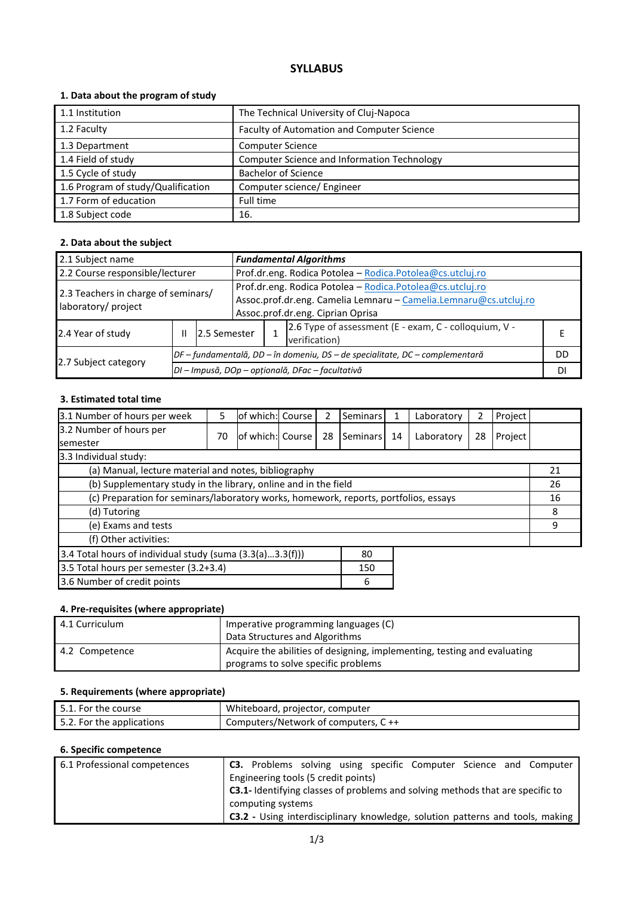# **SYLLABUS**

# **1. Data about the program of study**

| 1.1 Institution                    | The Technical University of Cluj-Napoca            |
|------------------------------------|----------------------------------------------------|
| 1.2 Faculty                        | Faculty of Automation and Computer Science         |
| 1.3 Department                     | <b>Computer Science</b>                            |
| 1.4 Field of study                 | <b>Computer Science and Information Technology</b> |
| 1.5 Cycle of study                 | <b>Bachelor of Science</b>                         |
| 1.6 Program of study/Qualification | Computer science/ Engineer                         |
| 1.7 Form of education              | Full time                                          |
| 1.8 Subject code                   | 16.                                                |

#### **2. Data about the subject**

| 2.1 Subject name                                           |                   |                                                                              | <b>Fundamental Algorithms</b>                                     |                                                           |                                                       |  |  |  |  |
|------------------------------------------------------------|-------------------|------------------------------------------------------------------------------|-------------------------------------------------------------------|-----------------------------------------------------------|-------------------------------------------------------|--|--|--|--|
| 2.2 Course responsible/lecturer                            |                   |                                                                              |                                                                   | Prof.dr.eng. Rodica Potolea - Rodica.Potolea@cs.utcluj.ro |                                                       |  |  |  |  |
| 2.3 Teachers in charge of seminars/<br>laboratory/ project |                   |                                                                              | Prof.dr.eng. Rodica Potolea - Rodica.Potolea@cs.utcluj.ro         |                                                           |                                                       |  |  |  |  |
|                                                            |                   |                                                                              | Assoc.prof.dr.eng. Camelia Lemnaru - Camelia.Lemnaru@cs.utcluj.ro |                                                           |                                                       |  |  |  |  |
|                                                            |                   |                                                                              |                                                                   | Assoc.prof.dr.eng. Ciprian Oprisa                         |                                                       |  |  |  |  |
| 2.4 Year of study                                          | 2.5 Semester<br>Ш |                                                                              |                                                                   |                                                           | 2.6 Type of assessment (E - exam, C - colloquium, V - |  |  |  |  |
|                                                            |                   |                                                                              |                                                                   |                                                           | verification)                                         |  |  |  |  |
|                                                            |                   | DF – fundamentală, DD – în domeniu, DS – de specialitate, DC – complementară |                                                                   |                                                           |                                                       |  |  |  |  |
| 2.7 Subject category                                       |                   | DI - Impusă, DOp - opțională, DFac - facultativă                             |                                                                   |                                                           |                                                       |  |  |  |  |

# **3. Estimated total time**

| 3.1 Number of hours per week                                                         | 5  | of which: Course  |  | 2  | Seminars        | 1  | Laboratory | 2  | Project |    |
|--------------------------------------------------------------------------------------|----|-------------------|--|----|-----------------|----|------------|----|---------|----|
| 3.2 Number of hours per                                                              | 70 | lof which: Course |  | 28 | <b>Seminars</b> | 14 | Laboratory | 28 | Project |    |
| semester                                                                             |    |                   |  |    |                 |    |            |    |         |    |
| 3.3 Individual study:                                                                |    |                   |  |    |                 |    |            |    |         |    |
| (a) Manual, lecture material and notes, bibliography                                 |    |                   |  |    |                 |    |            |    |         | 21 |
| (b) Supplementary study in the library, online and in the field                      |    |                   |  |    |                 |    |            |    |         | 26 |
| (c) Preparation for seminars/laboratory works, homework, reports, portfolios, essays |    |                   |  |    |                 |    | 16         |    |         |    |
| (d) Tutoring                                                                         |    |                   |  |    |                 |    |            | 8  |         |    |
| (e) Exams and tests                                                                  |    |                   |  |    |                 |    |            | 9  |         |    |
| (f) Other activities:                                                                |    |                   |  |    |                 |    |            |    |         |    |
| 3.4 Total hours of individual study (suma $(3.3(a)3.3(f)))$<br>80                    |    |                   |  |    |                 |    |            |    |         |    |
| 3.5 Total hours per semester (3.2+3.4)<br>150                                        |    |                   |  |    |                 |    |            |    |         |    |
| 3.6 Number of credit points<br>6                                                     |    |                   |  |    |                 |    |            |    |         |    |

#### **4. Pre-requisites (where appropriate)**

| 4.1 Curriculum | Imperative programming languages (C)<br>Data Structures and Algorithms                                          |
|----------------|-----------------------------------------------------------------------------------------------------------------|
| 4.2 Competence | Acquire the abilities of designing, implementing, testing and evaluating<br>programs to solve specific problems |

# **5. Requirements (where appropriate)**

| 5.1. For the course       | Whiteboard, projector, computer     |
|---------------------------|-------------------------------------|
| 5.2. For the applications | Computers/Network of computers, C++ |

# **6. Specific competence**

| 6.1 Professional competences |                                     |  | <b>C3.</b> Problems solving using specific Computer Science and Computer              |  |                                                                               |
|------------------------------|-------------------------------------|--|---------------------------------------------------------------------------------------|--|-------------------------------------------------------------------------------|
|                              | Engineering tools (5 credit points) |  |                                                                                       |  |                                                                               |
|                              |                                     |  | <b>C3.1-</b> Identifying classes of problems and solving methods that are specific to |  |                                                                               |
|                              | computing systems                   |  |                                                                                       |  |                                                                               |
|                              |                                     |  |                                                                                       |  | C3.2 - Using interdisciplinary knowledge, solution patterns and tools, making |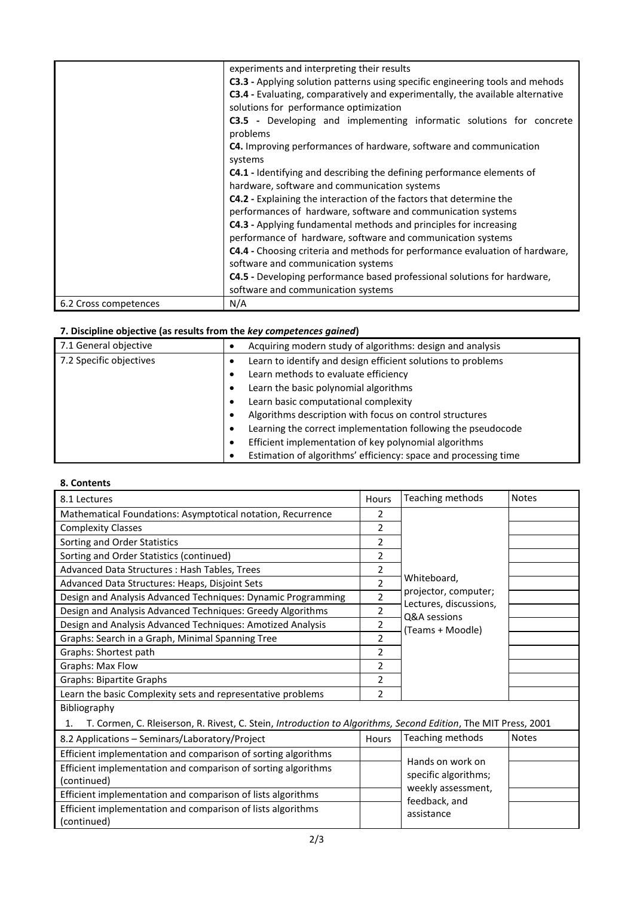|                       | experiments and interpreting their results                                            |
|-----------------------|---------------------------------------------------------------------------------------|
|                       | C3.3 - Applying solution patterns using specific engineering tools and mehods         |
|                       | <b>C3.4</b> - Evaluating, comparatively and experimentally, the available alternative |
|                       | solutions for performance optimization                                                |
|                       | C3.5 - Developing and implementing informatic solutions for concrete<br>problems      |
|                       | C4. Improving performances of hardware, software and communication                    |
|                       | systems                                                                               |
|                       | <b>C4.1</b> - Identifying and describing the defining performance elements of         |
|                       | hardware, software and communication systems                                          |
|                       | C4.2 - Explaining the interaction of the factors that determine the                   |
|                       | performances of hardware, software and communication systems                          |
|                       | <b>C4.3</b> - Applying fundamental methods and principles for increasing              |
|                       | performance of hardware, software and communication systems                           |
|                       | C4.4 - Choosing criteria and methods for performance evaluation of hardware,          |
|                       | software and communication systems                                                    |
|                       | C4.5 - Developing performance based professional solutions for hardware,              |
|                       | software and communication systems                                                    |
| 6.2 Cross competences | N/A                                                                                   |

#### **7. Discipline objective (as results from the** *key competences gained***)**

| 7.1 General objective   | Acquiring modern study of algorithms: design and analysis       |  |  |  |  |
|-------------------------|-----------------------------------------------------------------|--|--|--|--|
| 7.2 Specific objectives | Learn to identify and design efficient solutions to problems    |  |  |  |  |
|                         | Learn methods to evaluate efficiency                            |  |  |  |  |
|                         | Learn the basic polynomial algorithms                           |  |  |  |  |
|                         | Learn basic computational complexity                            |  |  |  |  |
|                         | Algorithms description with focus on control structures         |  |  |  |  |
|                         | Learning the correct implementation following the pseudocode    |  |  |  |  |
|                         | Efficient implementation of key polynomial algorithms           |  |  |  |  |
|                         | Estimation of algorithms' efficiency: space and processing time |  |  |  |  |

#### **8. Contents**

| 8.1 Lectures                                                                                                         | Hours                    | Teaching methods                       | <b>Notes</b> |  |  |  |
|----------------------------------------------------------------------------------------------------------------------|--------------------------|----------------------------------------|--------------|--|--|--|
| Mathematical Foundations: Asymptotical notation, Recurrence                                                          | 2                        |                                        |              |  |  |  |
| <b>Complexity Classes</b>                                                                                            | 2                        |                                        |              |  |  |  |
| Sorting and Order Statistics                                                                                         | 2                        |                                        |              |  |  |  |
| Sorting and Order Statistics (continued)                                                                             | 2                        |                                        |              |  |  |  |
| Advanced Data Structures : Hash Tables, Trees                                                                        | 2                        |                                        |              |  |  |  |
| Advanced Data Structures: Heaps, Disjoint Sets                                                                       | $\overline{\phantom{a}}$ | Whiteboard,                            |              |  |  |  |
| Design and Analysis Advanced Techniques: Dynamic Programming                                                         | $\overline{2}$           | projector, computer;                   |              |  |  |  |
| Design and Analysis Advanced Techniques: Greedy Algorithms                                                           | 2                        | Lectures, discussions,<br>Q&A sessions |              |  |  |  |
| Design and Analysis Advanced Techniques: Amotized Analysis                                                           | 2                        | (Teams + Moodle)                       |              |  |  |  |
| Graphs: Search in a Graph, Minimal Spanning Tree                                                                     | 2                        |                                        |              |  |  |  |
| Graphs: Shortest path                                                                                                | 2                        |                                        |              |  |  |  |
| Graphs: Max Flow                                                                                                     | 2                        |                                        |              |  |  |  |
| <b>Graphs: Bipartite Graphs</b>                                                                                      | 2                        |                                        |              |  |  |  |
| Learn the basic Complexity sets and representative problems                                                          | $\overline{\phantom{a}}$ |                                        |              |  |  |  |
| Bibliography                                                                                                         |                          |                                        |              |  |  |  |
| T. Cormen, C. Rleiserson, R. Rivest, C. Stein, Introduction to Algorithms, Second Edition, The MIT Press, 2001<br>1. |                          |                                        |              |  |  |  |
| 8.2 Applications - Seminars/Laboratory/Project                                                                       | <b>Hours</b>             | Teaching methods                       | <b>Notes</b> |  |  |  |
| Efficient implementation and comparison of sorting algorithms                                                        |                          |                                        |              |  |  |  |
| Efficient implementation and comparison of secting algorithms                                                        |                          | Hands on work on                       |              |  |  |  |